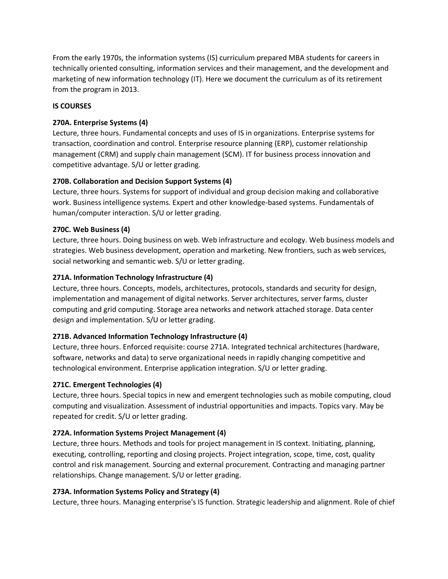From the early 1970s, the information systems (IS) curriculum prepared MBA students for careers in technically oriented consulting, information services and their management, and the development and marketing of new information technology (IT). Here we document the curriculum as of its retirement from the program in 2013.

#### **IS COURSES**

### **270A. Enterprise Systems (4)**

Lecture, three hours. Fundamental concepts and uses of IS in organizations. Enterprise systems for transaction, coordination and control. Enterprise resource planning (ERP), customer relationship management (CRM) and supply chain management (SCM). IT for business process innovation and competitive advantage. S/U or letter grading.

## **270B. Collaboration and Decision Support Systems (4)**

Lecture, three hours. Systems for support of individual and group decision making and collaborative work. Business intelligence systems. Expert and other knowledge-based systems. Fundamentals of human/computer interaction. S/U or letter grading.

### **270C. Web Business (4)**

Lecture, three hours. Doing business on web. Web infrastructure and ecology. Web business models and strategies. Web business development, operation and marketing. New frontiers, such as web services, social networking and semantic web. S/U or letter grading.

### **271A. Information Technology Infrastructure (4)**

Lecture, three hours. Concepts, models, architectures, protocols, standards and security for design, implementation and management of digital networks. Server architectures, server farms, cluster computing and grid computing. Storage area networks and network attached storage. Data center design and implementation. S/U or letter grading.

## **271B. Advanced Information Technology Infrastructure (4)**

Lecture, three hours. Enforced requisite: course 271A. Integrated technical architectures (hardware, software, networks and data) to serve organizational needs in rapidly changing competitive and technological environment. Enterprise application integration. S/U or letter grading.

#### **271C. Emergent Technologies (4)**

Lecture, three hours. Special topics in new and emergent technologies such as mobile computing, cloud computing and visualization. Assessment of industrial opportunities and impacts. Topics vary. May be repeated for credit. S/U or letter grading.

#### **272A. Information Systems Project Management (4)**

Lecture, three hours. Methods and tools for project management in IS context. Initiating, planning, executing, controlling, reporting and closing projects. Project integration, scope, time, cost, quality control and risk management. Sourcing and external procurement. Contracting and managing partner relationships. Change management. S/U or letter grading.

#### **273A. Information Systems Policy and Strategy (4)**

Lecture, three hours. Managing enterprise's IS function. Strategic leadership and alignment. Role of chief